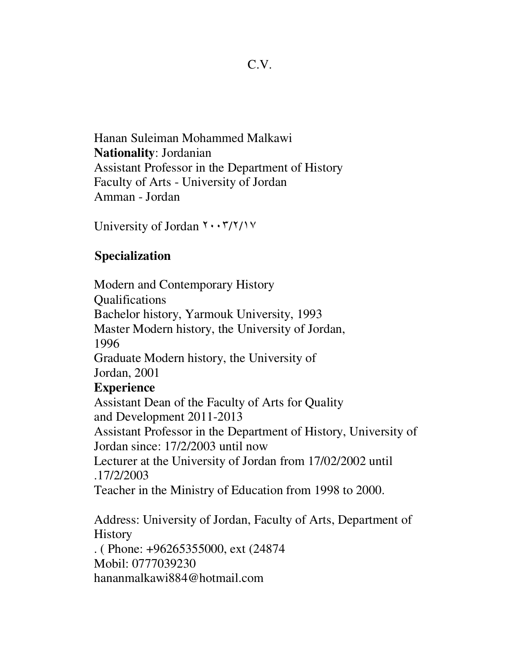Hanan Suleiman Mohammed Malkawi **Nationality**: Jordanian Assistant Professor in the Department of History Faculty of Arts - University of Jordan Amman - Jordan

University of Jordan ٢٠٠٣/٢/١٧

## **Specialization**

 Modern and Contemporary History Qualifications Bachelor history, Yarmouk University, 1993 Master Modern history, the University of Jordan, 1996 Graduate Modern history, the University of Jordan, 2001  **Experience** Assistant Dean of the Faculty of Arts for Quality and Development 2011-2013 Assistant Professor in the Department of History, University of Jordan since: 17/2/2003 until now Lecturer at the University of Jordan from 17/02/2002 until . 17/2/2003 Teacher in the Ministry of Education from 1998 to 2000. Address: University of Jordan, Faculty of Arts, Department of

**History** . ( Phone: +96265355000, ext (24874 Mobil: 0777039230 hananmalkawi884@hotmail.com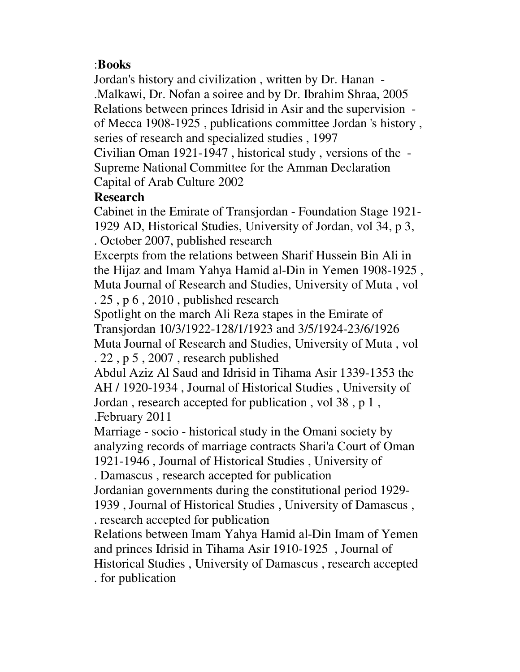### : **Books**

Jordan's history and civilization , written by Dr. Hanan - . Malkawi, Dr. Nofan a soiree and by Dr. Ibrahim Shraa, 2005 Relations between princes Idrisid in Asir and the supervision of Mecca 1908-1925 , publications committee Jordan 's history , series of research and specialized studies , 1997

Civilian Oman 1921-1947 , historical study , versions of the - Supreme National Committee for the Amman Declaration Capital of Arab Culture 2002

#### **Research**

Cabinet in the Emirate of Transjordan - Foundation Stage 1921- 1929 AD, Historical Studies, University of Jordan, vol 34, p 3, . October 2007, published research

Excerpts from the relations between Sharif Hussein Bin Ali in the Hijaz and Imam Yahya Hamid al-Din in Yemen 1908-1925 , Muta Journal of Research and Studies, University of Muta , vol . 25 , p 6 , 2010 , published research

Spotlight on the march Ali Reza stapes in the Emirate of Transjordan 10/3/1922-128/1/1923 and 3/5/1924-23/6/1926 Muta Journal of Research and Studies, University of Muta , vol . 22 , p 5 , 2007 , research published

Abdul Aziz Al Saud and Idrisid in Tihama Asir 1339-1353 the AH / 1920-1934 , Journal of Historical Studies , University of Jordan , research accepted for publication , vol 38 , p 1 , . February 2011

Marriage - socio - historical study in the Omani society by analyzing records of marriage contracts Shari'a Court of Oman 1921-1946 , Journal of Historical Studies , University of

. Damascus , research accepted for publication

Jordanian governments during the constitutional period 1929-

1939 , Journal of Historical Studies , University of Damascus , . research accepted for publication

Relations between Imam Yahya Hamid al-Din Imam of Yemen and princes Idrisid in Tihama Asir 1910-1925 , Journal of Historical Studies , University of Damascus , research accepted . for publication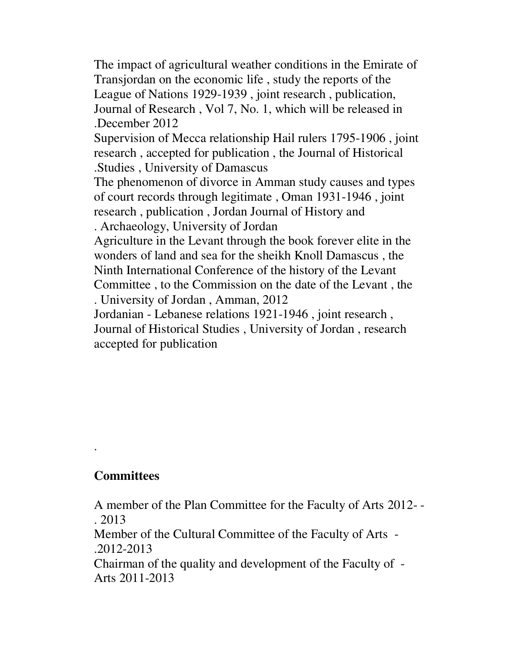The impact of agricultural weather conditions in the Emirate of Transjordan on the economic life , study the reports of the League of Nations 1929-1939 , joint research , publication, Journal of Research , Vol 7, No. 1, which will be released in . December 2012 Supervision of Mecca relationship Hail rulers 1795-1906 , joint research , accepted for publication , the Journal of Historical . Studies , University of Damascus The phenomenon of divorce in Amman study causes and types of court records through legitimate , Oman 1931-1946 , joint research , publication , Jordan Journal of History and . Archaeology, University of Jordan Agriculture in the Levant through the book forever elite in the wonders of land and sea for the sheikh Knoll Damascus , the Ninth International Conference of the history of the Levant Committee , to the Commission on the date of the Levant , the . University of Jordan , Amman, 2012 Jordanian - Lebanese relations 1921-1946 , joint research ,

Journal of Historical Studies , University of Jordan , research accepted for publication

## **Committees**

.

A member of the Plan Committee for the Faculty of Arts 2012- - . 2013 Member of the Cultural Committee of the Faculty of Arts - . 2012-2013 Chairman of the quality and development of the Faculty of - Arts 2011-2013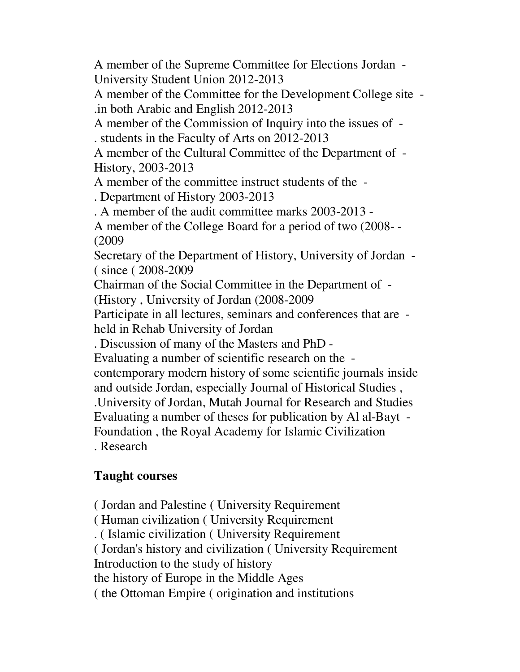A member of the Supreme Committee for Elections Jordan - University Student Union 2012-2013

A member of the Committee for the Development College site - . in both Arabic and English 2012-2013

A member of the Commission of Inquiry into the issues of - . students in the Faculty of Arts on 2012-2013

A member of the Cultural Committee of the Department of - History, 2003-2013

A member of the committee instruct students of the -

. Department of History 2003-2013

. A member of the audit committee marks 2003-2013 -

A member of the College Board for a period of two (2008- - ( 2009

Secretary of the Department of History, University of Jordan - ( since ( 2008-2009

Chairman of the Social Committee in the Department of -

( History , University of Jordan (2008-2009

Participate in all lectures, seminars and conferences that are held in Rehab University of Jordan

. Discussion of many of the Masters and PhD -

Evaluating a number of scientific research on the -

contemporary modern history of some scientific journals inside and outside Jordan, especially Journal of Historical Studies ,

. University of Jordan, Mutah Journal for Research and Studies

Evaluating a number of theses for publication by Al al-Bayt -

Foundation , the Royal Academy for Islamic Civilization . Research

# **Taught courses**

 ( Jordan and Palestine ( University Requirement ( Human civilization ( University Requirement . ( Islamic civilization ( University Requirement ( Jordan's history and civilization ( University Requirement Introduction to the study of history the history of Europe in the Middle Ages ( the Ottoman Empire ( origination and institutions